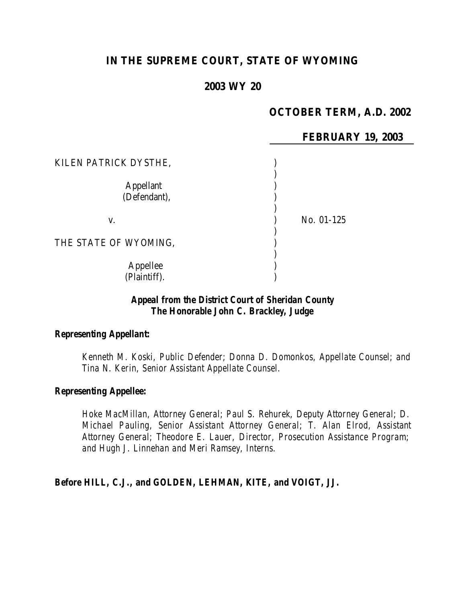# **IN THE SUPREME COURT, STATE OF WYOMING**

# **2003 WY 20**

# **OCTOBER TERM, A.D. 2002**

|                                  | <b>FEBRUARY 19, 2003</b> |
|----------------------------------|--------------------------|
| KILEN PATRICK DYSTHE,            |                          |
| <b>Appellant</b><br>(Defendant), |                          |
| V.                               | No. 01-125               |
| THE STATE OF WYOMING,            |                          |
| Appellee<br>(Plaintiff).         |                          |

#### *Appeal from the District Court of Sheridan County The Honorable John C. Brackley, Judge*

#### *Representing Appellant:*

*Kenneth M. Koski, Public Defender; Donna D. Domonkos, Appellate Counsel; and Tina N. Kerin, Senior Assistant Appellate Counsel.*

#### *Representing Appellee:*

*Hoke MacMillan, Attorney General; Paul S. Rehurek, Deputy Attorney General; D. Michael Pauling, Senior Assistant Attorney General; T. Alan Elrod, Assistant Attorney General; Theodore E. Lauer, Director, Prosecution Assistance Program; and Hugh J. Linnehan and Meri Ramsey, Interns.*

#### *Before HILL, C.J., and GOLDEN, LEHMAN, KITE, and VOIGT, JJ.*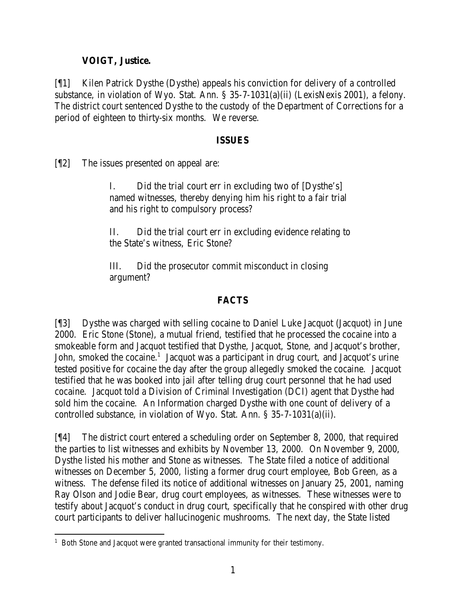# **VOIGT, Justice.**

[¶1] Kilen Patrick Dysthe (Dysthe) appeals his conviction for delivery of a controlled substance, in violation of Wyo. Stat. Ann. § 35-7-1031(a)(ii) (LexisNexis 2001), a felony. The district court sentenced Dysthe to the custody of the Department of Corrections for a period of eighteen to thirty-six months. We reverse.

#### **ISSUES**

[¶2] The issues presented on appeal are:

I. Did the trial court err in excluding two of [Dysthe's] named witnesses, thereby denying him his right to a fair trial and his right to compulsory process?

II. Did the trial court err in excluding evidence relating to the State's witness, Eric Stone?

III. Did the prosecutor commit misconduct in closing argument?

# **FACTS**

[¶3] Dysthe was charged with selling cocaine to Daniel Luke Jacquot (Jacquot) in June 2000. Eric Stone (Stone), a mutual friend, testified that he processed the cocaine into a smokeable form and Jacquot testified that Dysthe, Jacquot, Stone, and Jacquot's brother, John, smoked the cocaine.<sup>1</sup> Jacquot was a participant in drug court, and Jacquot's urine tested positive for cocaine the day after the group allegedly smoked the cocaine. Jacquot testified that he was booked into jail after telling drug court personnel that he had used cocaine. Jacquot told a Division of Criminal Investigation (DCI) agent that Dysthe had sold him the cocaine. An Information charged Dysthe with one count of delivery of a controlled substance, in violation of Wyo. Stat. Ann. § 35-7-1031(a)(ii).

[¶4] The district court entered a scheduling order on September 8, 2000, that required the parties to list witnesses and exhibits by November 13, 2000. On November 9, 2000, Dysthe listed his mother and Stone as witnesses. The State filed a notice of additional witnesses on December 5, 2000, listing a former drug court employee, Bob Green, as a witness. The defense filed its notice of additional witnesses on January 25, 2001, naming Ray Olson and Jodie Bear, drug court employees, as witnesses. These witnesses were to testify about Jacquot's conduct in drug court, specifically that he conspired with other drug court participants to deliver hallucinogenic mushrooms. The next day, the State listed

 <sup>1</sup> Both Stone and Jacquot were granted transactional immunity for their testimony.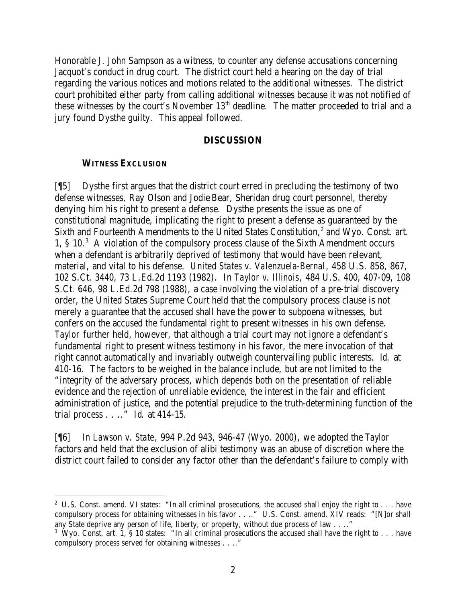Honorable J. John Sampson as a witness, to counter any defense accusations concerning Jacquot's conduct in drug court. The district court held a hearing on the day of trial regarding the various notices and motions related to the additional witnesses. The district court prohibited either party from calling additional witnesses because it was not notified of these witnesses by the court's November 13<sup>th</sup> deadline. The matter proceeded to trial and a jury found Dysthe guilty. This appeal followed.

#### **DISCUSSION**

#### **WITNESS EXCLUSION**

[¶5] Dysthe first argues that the district court erred in precluding the testimony of two defense witnesses, Ray Olson and Jodie Bear, Sheridan drug court personnel, thereby denying him his right to present a defense. Dysthe presents the issue as one of constitutional magnitude, implicating the right to present a defense as guaranteed by the Sixth and Fourteenth Amendments to the United States Constitution, $^2$  and Wyo. Const. art. 1, § 10.<sup>3</sup> A violation of the compulsory process clause of the Sixth Amendment occurs when a defendant is arbitrarily deprived of testimony that would have been relevant, material, and vital to his defense. *United States v. Valenzuela-Bernal*, 458 U.S. 858, 867, 102 S.Ct. 3440, 73 L.Ed.2d 1193 (1982). In *Taylor v. Illinois*, 484 U.S. 400, 407-09, 108 S.Ct. 646, 98 L.Ed.2d 798 (1988), a case involving the violation of a pre-trial discovery order, the United States Supreme Court held that the compulsory process clause is not merely a guarantee that the accused shall have the power to subpoena witnesses, but confers on the accused the fundamental right to present witnesses in his own defense. *Taylor* further held, however, that although a trial court may not ignore a defendant's fundamental right to present witness testimony in his favor, the mere invocation of that right cannot automatically and invariably outweigh countervailing public interests. *Id.* at 410-16. The factors to be weighed in the balance include, but are not limited to the "integrity of the adversary process, which depends both on the presentation of reliable evidence and the rejection of unreliable evidence, the interest in the fair and efficient administration of justice, and the potential prejudice to the truth-determining function of the trial process . . .." *Id.* at 414-15.

[¶6] In *Lawson v. State*, 994 P.2d 943, 946-47 (Wyo. 2000), we adopted the *Taylor* factors and held that the exclusion of alibi testimony was an abuse of discretion where the district court failed to consider any factor other than the defendant's failure to comply with

<sup>&</sup>lt;sup>2</sup> U.S. Const. amend. VI states: "In all criminal prosecutions, the accused shall enjoy the right to  $\ldots$  have compulsory process for obtaining witnesses in his favor . . .." U.S. Const. amend. XIV reads: "[N]or shall any State deprive any person of life, liberty, or property, without due process of law . . .."

<sup>&</sup>lt;sup>3</sup> Wyo. Const. art. 1, § 10 states: "In all criminal prosecutions the accused shall have the right to . . . have compulsory process served for obtaining witnesses . . .."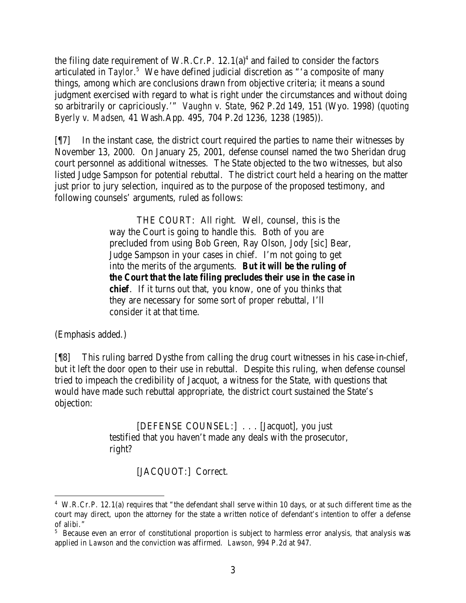the filing date requirement of W.R.Cr.P.  $12.1(a)^4$  and failed to consider the factors articulated in *Taylor*. 5 We have defined judicial discretion as "'a composite of many things, among which are conclusions drawn from objective criteria; it means a sound judgment exercised with regard to what is right under the circumstances and without doing so arbitrarily or capriciously.'" *Vaughn v. State*, 962 P.2d 149, 151 (Wyo. 1998) (*quoting Byerly v. Madsen*, 41 Wash.App. 495, 704 P.2d 1236, 1238 (1985)).

[¶7] In the instant case, the district court required the parties to name their witnesses by November 13, 2000. On January 25, 2001, defense counsel named the two Sheridan drug court personnel as additional witnesses. The State objected to the two witnesses, but also listed Judge Sampson for potential rebuttal. The district court held a hearing on the matter just prior to jury selection, inquired as to the purpose of the proposed testimony, and following counsels' arguments, ruled as follows:

> THE COURT: All right. Well, counsel, this is the way the Court is going to handle this. Both of you are precluded from using Bob Green, Ray Olson, Jody [sic] Bear, Judge Sampson in your cases in chief. I'm not going to get into the merits of the arguments. *But it will be the ruling of the Court that the late filing precludes their use in the case in chief*. If it turns out that, you know, one of you thinks that they are necessary for some sort of proper rebuttal, I'll consider it at that time.

(Emphasis added.)

[¶8] This ruling barred Dysthe from calling the drug court witnesses in his case-in-chief, but it left the door open to their use in rebuttal. Despite this ruling, when defense counsel tried to impeach the credibility of Jacquot, a witness for the State, with questions that would have made such rebuttal appropriate, the district court sustained the State's objection:

> [DEFENSE COUNSEL:] . . . [Jacquot], you just testified that you haven't made any deals with the prosecutor, right?

> > [JACQUOT:] Correct.

<sup>&</sup>lt;sup>4</sup> W.R.Cr.P. 12.1(a) requires that "the defendant shall serve within 10 days, or at such different time as the court may direct, upon the attorney for the state a written notice of defendant's intention to offer a defense of alibi."

<sup>&</sup>lt;sup>5</sup> Because even an error of constitutional proportion is subject to harmless error analysis, that analysis was applied in *Lawson* and the conviction was affirmed. *Lawson*, 994 P.2d at 947.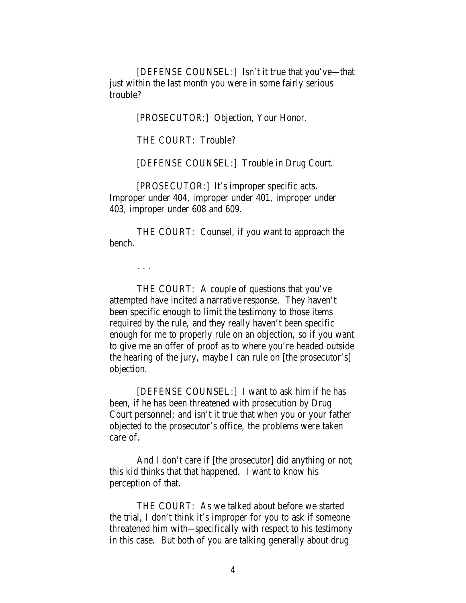[DEFENSE COUNSEL:] Isn't it true that you've—that just within the last month you were in some fairly serious trouble?

[PROSECUTOR:] Objection, Your Honor.

THE COURT: Trouble?

[DEFENSE COUNSEL:] Trouble in Drug Court.

[PROSECUTOR:] It's improper specific acts. Improper under 404, improper under 401, improper under 403, improper under 608 and 609.

THE COURT: Counsel, if you want to approach the bench.

. . .

THE COURT: A couple of questions that you've attempted have incited a narrative response. They haven't been specific enough to limit the testimony to those items required by the rule, and they really haven't been specific enough for me to properly rule on an objection, so if you want to give me an offer of proof as to where you're headed outside the hearing of the jury, maybe I can rule on [the prosecutor's] objection.

[DEFENSE COUNSEL:] I want to ask him if he has been, if he has been threatened with prosecution by Drug Court personnel; and isn't it true that when you or your father objected to the prosecutor's office, the problems were taken care of.

And I don't care if [the prosecutor] did anything or not; this kid thinks that that happened. I want to know his perception of that.

THE COURT: As we talked about before we started the trial, I don't think it's improper for you to ask if someone threatened him with—specifically with respect to his testimony in this case. But both of you are talking generally about drug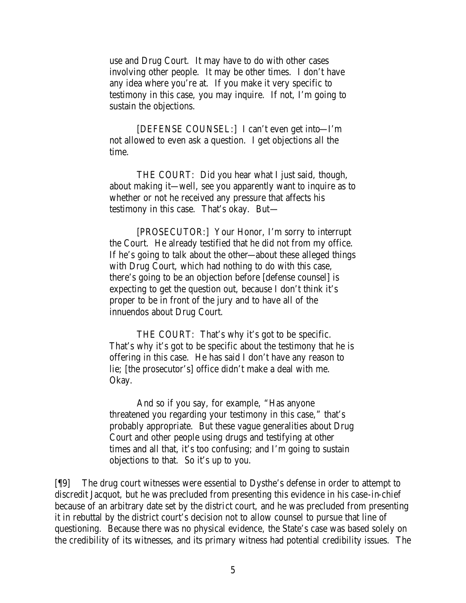use and Drug Court. It may have to do with other cases involving other people. It may be other times. I don't have any idea where you're at. If you make it very specific to testimony in this case, you may inquire. If not, I'm going to sustain the objections.

[DEFENSE COUNSEL:] I can't even get into—I'm not allowed to even ask a question. I get objections all the time.

THE COURT: Did you hear what I just said, though, about making it—well, see you apparently want to inquire as to whether or not he received any pressure that affects his testimony in this case. That's okay. But—

[PROSECUTOR:] Your Honor, I'm sorry to interrupt the Court. He already testified that he did not from my office. If he's going to talk about the other—about these alleged things with Drug Court, which had nothing to do with this case, there's going to be an objection before [defense counsel] is expecting to get the question out, because I don't think it's proper to be in front of the jury and to have all of the innuendos about Drug Court.

THE COURT: That's why it's got to be specific. That's why it's got to be specific about the testimony that he is offering in this case. He has said I don't have any reason to lie; [the prosecutor's] office didn't make a deal with me. Okay.

And so if you say, for example, "Has anyone threatened you regarding your testimony in this case," that's probably appropriate. But these vague generalities about Drug Court and other people using drugs and testifying at other times and all that, it's too confusing; and I'm going to sustain objections to that. So it's up to you.

[¶9] The drug court witnesses were essential to Dysthe's defense in order to attempt to discredit Jacquot, but he was precluded from presenting this evidence in his case-in-chief because of an arbitrary date set by the district court, and he was precluded from presenting it in rebuttal by the district court's decision not to allow counsel to pursue that line of questioning. Because there was no physical evidence, the State's case was based solely on the credibility of its witnesses, and its primary witness had potential credibility issues. The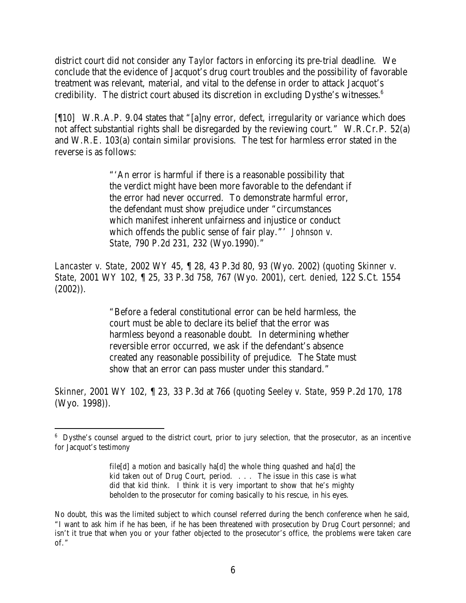district court did not consider any *Taylor* factors in enforcing its pre-trial deadline. We conclude that the evidence of Jacquot's drug court troubles and the possibility of favorable treatment was relevant, material, and vital to the defense in order to attack Jacquot's credibility. The district court abused its discretion in excluding Dysthe's witnesses. $6$ 

[¶10] W.R.A.P. 9.04 states that "[a]ny error, defect, irregularity or variance which does not affect substantial rights shall be disregarded by the reviewing court." W.R.Cr.P. 52(a) and W.R.E. 103(a) contain similar provisions. The test for harmless error stated in the reverse is as follows:

> "'An error is harmful if there is a reasonable possibility that the verdict might have been more favorable to the defendant if the error had never occurred. To demonstrate harmful error, the defendant must show prejudice under "circumstances which manifest inherent unfairness and injustice or conduct which offends the public sense of fair play."' *Johnson v. State*, 790 P.2d 231, 232 (Wyo.1990)."

*Lancaster v. State*, 2002 WY 45, ¶ 28, 43 P.3d 80, 93 (Wyo. 2002) (*quoting Skinner v. State*, 2001 WY 102, ¶ 25, 33 P.3d 758, 767 (Wyo. 2001), *cert. denied*, 122 S.Ct. 1554 (2002)).

> "Before a federal constitutional error can be held harmless, the court must be able to declare its belief that the error was harmless beyond a reasonable doubt. In determining whether reversible error occurred, we ask if the defendant's absence created any reasonable possibility of prejudice. The State must show that an error can pass muster under this standard."

*Skinner*, 2001 WY 102, ¶ 23, 33 P.3d at 766 (*quoting Seeley v. State*, 959 P.2d 170, 178 (Wyo. 1998)).

<sup>&</sup>lt;sup>6</sup> Dysthe's counsel argued to the district court, prior to jury selection, that the prosecutor, as an incentive for Jacquot's testimony

file[d] a motion and basically ha[d] the whole thing quashed and ha[d] the kid taken out of Drug Court, period. . . . The issue in this case is what did that kid think. I think it is very important to show that he's mighty beholden to the prosecutor for coming basically to his rescue, in his eyes.

No doubt, this was the limited subject to which counsel referred during the bench conference when he said, "I want to ask him if he has been, if he has been threatened with prosecution by Drug Court personnel; and isn't it true that when you or your father objected to the prosecutor's office, the problems were taken care of."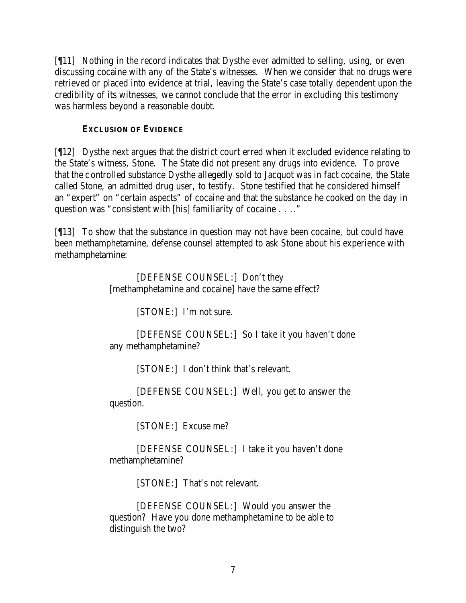[¶11] Nothing in the record indicates that Dysthe ever admitted to selling, using, or even discussing cocaine with any of the State's witnesses. When we consider that no drugs were retrieved or placed into evidence at trial, leaving the State's case totally dependent upon the credibility of its witnesses, we cannot conclude that the error in excluding this testimony was harmless beyond a reasonable doubt.

### **EXCLUSION OF EVIDENCE**

[¶12] Dysthe next argues that the district court erred when it excluded evidence relating to the State's witness, Stone. The State did not present any drugs into evidence. To prove that the controlled substance Dysthe allegedly sold to Jacquot was in fact cocaine, the State called Stone, an admitted drug user, to testify. Stone testified that he considered himself an "expert" on "certain aspects" of cocaine and that the substance he cooked on the day in question was "consistent with [his] familiarity of cocaine . . .."

[¶13] To show that the substance in question may not have been cocaine, but could have been methamphetamine, defense counsel attempted to ask Stone about his experience with methamphetamine:

> [DEFENSE COUNSEL:] Don't they [methamphetamine and cocaine] have the same effect?

> > [STONE:] I'm not sure.

[DEFENSE COUNSEL:] So I take it you haven't done any methamphetamine?

[STONE:] I don't think that's relevant.

[DEFENSE COUNSEL:] Well, you get to answer the question.

[STONE:] Excuse me?

[DEFENSE COUNSEL:] I take it you haven't done methamphetamine?

[STONE:] That's not relevant.

[DEFENSE COUNSEL:] Would you answer the question? Have you done methamphetamine to be able to distinguish the two?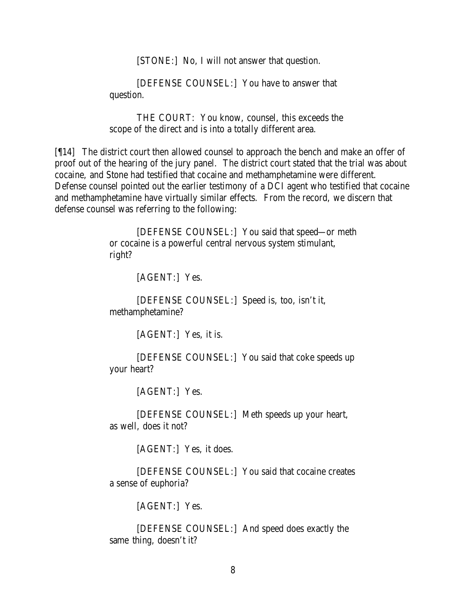[STONE:] No, I will not answer that question.

[DEFENSE COUNSEL:] You have to answer that question.

THE COURT: You know, counsel, this exceeds the scope of the direct and is into a totally different area.

[¶14] The district court then allowed counsel to approach the bench and make an offer of proof out of the hearing of the jury panel. The district court stated that the trial was about cocaine, and Stone had testified that cocaine and methamphetamine were different. Defense counsel pointed out the earlier testimony of a DCI agent who testified that cocaine and methamphetamine have virtually similar effects. From the record, we discern that defense counsel was referring to the following:

> [DEFENSE COUNSEL:] You said that speed—or meth or cocaine is a powerful central nervous system stimulant, right?

> > [AGENT:] Yes.

[DEFENSE COUNSEL:] Speed is, too, isn't it, methamphetamine?

[AGENT:] Yes, it is.

[DEFENSE COUNSEL:] You said that coke speeds up your heart?

[AGENT:] Yes.

[DEFENSE COUNSEL:] Meth speeds up your heart, as well, does it not?

[AGENT:] Yes, it does.

[DEFENSE COUNSEL:] You said that cocaine creates a sense of euphoria?

[AGENT:] Yes.

[DEFENSE COUNSEL:] And speed does exactly the same thing, doesn't it?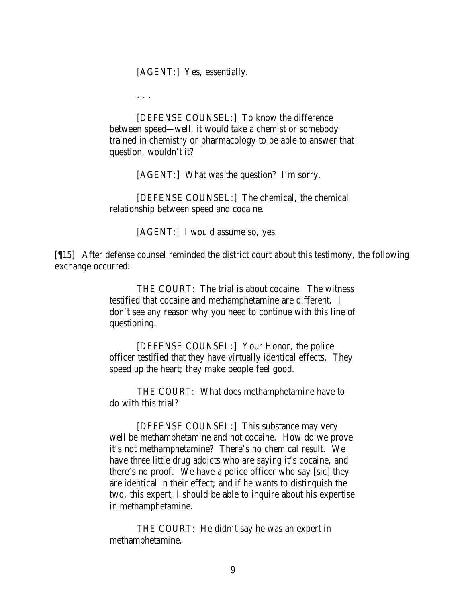[AGENT:] Yes, essentially.

. . .

[DEFENSE COUNSEL:] To know the difference between speed—well, it would take a chemist or somebody trained in chemistry or pharmacology to be able to answer that question, wouldn't it?

[AGENT:] What was the question? I'm sorry.

[DEFENSE COUNSEL:] The chemical, the chemical relationship between speed and cocaine.

[AGENT:] I would assume so, yes.

[¶15] After defense counsel reminded the district court about this testimony, the following exchange occurred:

> THE COURT: The trial is about cocaine. The witness testified that cocaine and methamphetamine are different. I don't see any reason why you need to continue with this line of questioning.

[DEFENSE COUNSEL:] Your Honor, the police officer testified that they have virtually identical effects. They speed up the heart; they make people feel good.

THE COURT: What does methamphetamine have to do with this trial?

[DEFENSE COUNSEL:] This substance may very well be methamphetamine and not cocaine. How do we prove it's not methamphetamine? There's no chemical result. We have three little drug addicts who are saying it's cocaine, and there's no proof. We have a police officer who say [sic] they are identical in their effect; and if he wants to distinguish the two, this expert, I should be able to inquire about his expertise in methamphetamine.

THE COURT: He didn't say he was an expert in methamphetamine.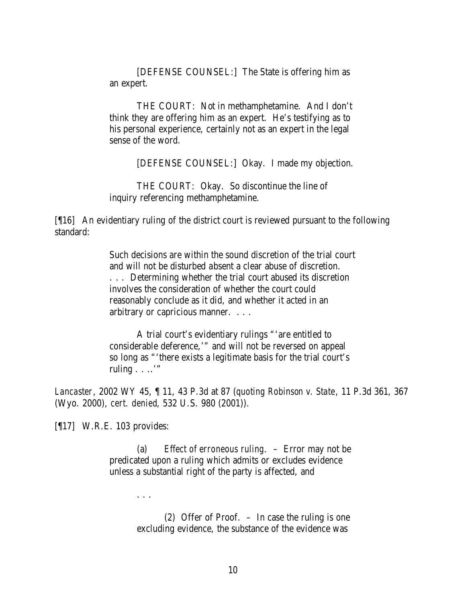[DEFENSE COUNSEL:] The State is offering him as an expert.

THE COURT: Not in methamphetamine. And I don't think they are offering him as an expert. He's testifying as to his personal experience, certainly not as an expert in the legal sense of the word.

[DEFENSE COUNSEL:] Okay. I made my objection.

THE COURT: Okay. So discontinue the line of inquiry referencing methamphetamine.

[¶16] An evidentiary ruling of the district court is reviewed pursuant to the following standard:

> Such decisions are within the sound discretion of the trial court and will not be disturbed absent a clear abuse of discretion. . . . Determining whether the trial court abused its discretion involves the consideration of whether the court could reasonably conclude as it did, and whether it acted in an arbitrary or capricious manner. . . .

A trial court's evidentiary rulings "'are entitled to considerable deference,'" and will not be reversed on appeal so long as "'there exists a legitimate basis for the trial court's ruling  $\ldots$ "

*Lancaster*, 2002 WY 45, ¶ 11, 43 P.3d at 87 (*quoting Robinson v. State*, 11 P.3d 361, 367 (Wyo. 2000), *cert. denied*, 532 U.S. 980 (2001)).

[¶17] W.R.E. 103 provides:

. . .

(a) *Effect of erroneous ruling*. – Error may not be predicated upon a ruling which admits or excludes evidence unless a substantial right of the party is affected, and

> (2) Offer of Proof. – In case the ruling is one excluding evidence, the substance of the evidence was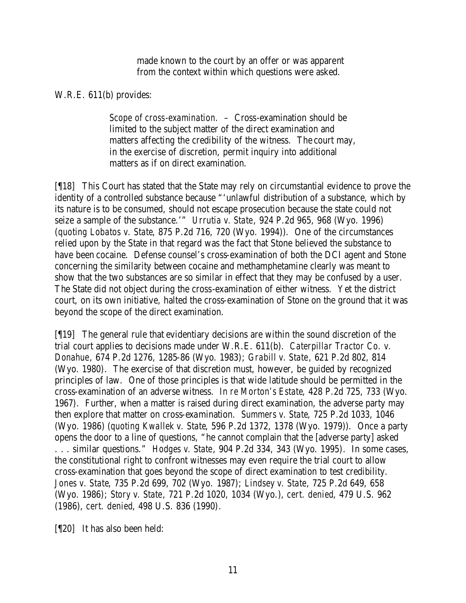made known to the court by an offer or was apparent from the context within which questions were asked.

### W.R.E. 611(b) provides:

*Scope of cross-examination.* – Cross-examination should be limited to the subject matter of the direct examination and matters affecting the credibility of the witness. The court may, in the exercise of discretion, permit inquiry into additional matters as if on direct examination.

[¶18] This Court has stated that the State may rely on circumstantial evidence to prove the identity of a controlled substance because "'unlawful distribution of a substance, which by its nature is to be consumed, should not escape prosecution because the state could not seize a sample of the substance.'" *Urrutia v. State*, 924 P.2d 965, 968 (Wyo. 1996) (*quoting Lobatos v. State*, 875 P.2d 716, 720 (Wyo. 1994)). One of the circumstances relied upon by the State in that regard was the fact that Stone believed the substance to have been cocaine. Defense counsel's cross-examination of both the DCI agent and Stone concerning the similarity between cocaine and methamphetamine clearly was meant to show that the two substances are so similar in effect that they may be confused by a user. The State did not object during the cross-examination of either witness. Yet the district court, on its own initiative, halted the cross-examination of Stone on the ground that it was beyond the scope of the direct examination.

[¶19] The general rule that evidentiary decisions are within the sound discretion of the trial court applies to decisions made under W.R.E. 611(b). *Caterpillar Tractor Co. v. Donahue*, 674 P.2d 1276, 1285-86 (Wyo. 1983); *Grabill v. State*, 621 P.2d 802, 814 (Wyo. 1980). The exercise of that discretion must, however, be guided by recognized principles of law. One of those principles is that wide latitude should be permitted in the cross-examination of an adverse witness. *In re Morton's Estate*, 428 P.2d 725, 733 (Wyo. 1967). Further, when a matter is raised during direct examination, the adverse party may then explore that matter on cross-examination. *Summers v. State*, 725 P.2d 1033, 1046 (Wyo. 1986) (*quoting Kwallek v. State*, 596 P.2d 1372, 1378 (Wyo. 1979)). Once a party opens the door to a line of questions, "he cannot complain that the [adverse party] asked . . . similar questions." *Hodges v. State*, 904 P.2d 334, 343 (Wyo. 1995). In some cases, the constitutional right to confront witnesses may even require the trial court to allow cross-examination that goes beyond the scope of direct examination to test credibility. *Jones v. State*, 735 P.2d 699, 702 (Wyo. 1987); *Lindsey v. State*, 725 P.2d 649, 658 (Wyo. 1986); *Story v. State*, 721 P.2d 1020, 1034 (Wyo.), *cert. denied*, 479 U.S. 962 (1986), *cert. denied*, 498 U.S. 836 (1990).

[¶20] It has also been held: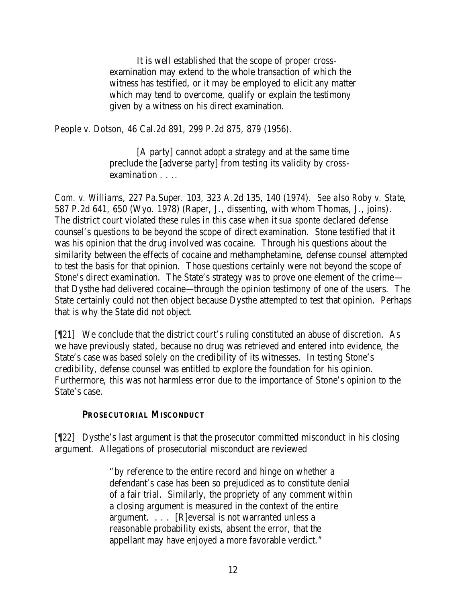It is well established that the scope of proper crossexamination may extend to the whole transaction of which the witness has testified, or it may be employed to elicit any matter which may tend to overcome, qualify or explain the testimony given by a witness on his direct examination.

*People v. Dotson*, 46 Cal.2d 891, 299 P.2d 875, 879 (1956).

[A party] cannot adopt a strategy and at the same time preclude the [adverse party] from testing its validity by crossexamination . . . .

*Com. v. Williams*, 227 Pa.Super. 103, 323 A.2d 135, 140 (1974). *See also Roby v. State*, 587 P.2d 641, 650 (Wyo. 1978) (Raper, J., dissenting, with whom Thomas, J., joins). The district court violated these rules in this case when it *sua sponte* declared defense counsel's questions to be beyond the scope of direct examination. Stone testified that it was his opinion that the drug involved was cocaine. Through his questions about the similarity between the effects of cocaine and methamphetamine, defense counsel attempted to test the basis for that opinion. Those questions certainly were not beyond the scope of Stone's direct examination. The State's strategy was to prove one element of the crime that Dysthe had delivered cocaine—through the opinion testimony of one of the users. The State certainly could not then object because Dysthe attempted to test that opinion. Perhaps that is why the State did not object.

[¶21] We conclude that the district court's ruling constituted an abuse of discretion. As we have previously stated, because no drug was retrieved and entered into evidence, the State's case was based solely on the credibility of its witnesses. In testing Stone's credibility, defense counsel was entitled to explore the foundation for his opinion. Furthermore, this was not harmless error due to the importance of Stone's opinion to the State's case.

#### **PROSECUTORIAL MISCONDUCT**

[¶22] Dysthe's last argument is that the prosecutor committed misconduct in his closing argument. Allegations of prosecutorial misconduct are reviewed

> "by reference to the entire record and hinge on whether a defendant's case has been so prejudiced as to constitute denial of a fair trial. Similarly, the propriety of any comment within a closing argument is measured in the context of the entire argument. . . . [R]eversal is not warranted unless a reasonable probability exists, absent the error, that the appellant may have enjoyed a more favorable verdict."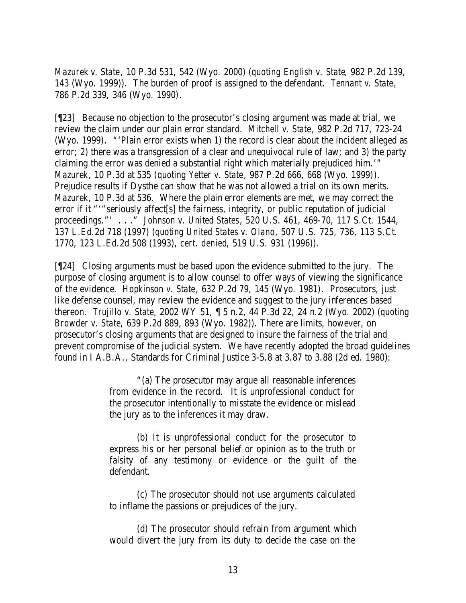*Mazurek v. State*, 10 P.3d 531, 542 (Wyo. 2000) (*quoting English v. State*, 982 P.2d 139, 143 (Wyo. 1999)). The burden of proof is assigned to the defendant. *Tennant v. State*, 786 P.2d 339, 346 (Wyo. 1990).

[¶23] Because no objection to the prosecutor's closing argument was made at trial, we review the claim under our plain error standard. *Mitchell v. State*, 982 P.2d 717, 723-24 (Wyo. 1999). "'Plain error exists when 1) the record is clear about the incident alleged as error; 2) there was a transgression of a clear and unequivocal rule of law; and 3) the party claiming the error was denied a substantial right which materially prejudiced him.'" *Mazurek*, 10 P.3d at 535 (*quoting Yetter v. State*, 987 P.2d 666, 668 (Wyo. 1999)). Prejudice results if Dysthe can show that he was not allowed a trial on its own merits. *Mazurek*, 10 P.3d at 536. Where the plain error elements are met, we may correct the error if it ""seriously affect[s] the fairness, integrity, or public reputation of judicial proceedings."' . . ." *Johnson v. United States*, 520 U.S. 461, 469-70, 117 S.Ct. 1544, 137 L.Ed.2d 718 (1997) (*quoting United States v. Olano*, 507 U.S. 725, 736, 113 S.Ct. 1770, 123 L.Ed.2d 508 (1993), *cert. denied*, 519 U.S. 931 (1996)).

[¶24] Closing arguments must be based upon the evidence submitted to the jury. The purpose of closing argument is to allow counsel to offer ways of viewing the significance of the evidence. *Hopkinson v. State*, 632 P.2d 79, 145 (Wyo. 1981). Prosecutors, just like defense counsel, may review the evidence and suggest to the jury inferences based thereon. *Trujillo v. State,* 2002 WY 51, ¶ 5 n.2, 44 P.3d 22, 24 n.2 (Wyo. 2002) (*quoting Browder v. State,* 639 P.2d 889, 893 (Wyo. 1982)). There are limits, however, on prosecutor's closing arguments that are designed to insure the fairness of the trial and prevent compromise of the judicial system. We have recently adopted the broad guidelines found in I A.B.A., Standards for Criminal Justice 3-5.8 at 3.87 to 3.88 (2d ed. 1980):

> "(a) The prosecutor may argue all reasonable inferences from evidence in the record. It is unprofessional conduct for the prosecutor intentionally to misstate the evidence or mislead the jury as to the inferences it may draw.

> (b) It is unprofessional conduct for the prosecutor to express his or her personal belief or opinion as to the truth or falsity of any testimony or evidence or the guilt of the defendant.

> (c) The prosecutor should not use arguments calculated to inflame the passions or prejudices of the jury.

> (d) The prosecutor should refrain from argument which would divert the jury from its duty to decide the case on the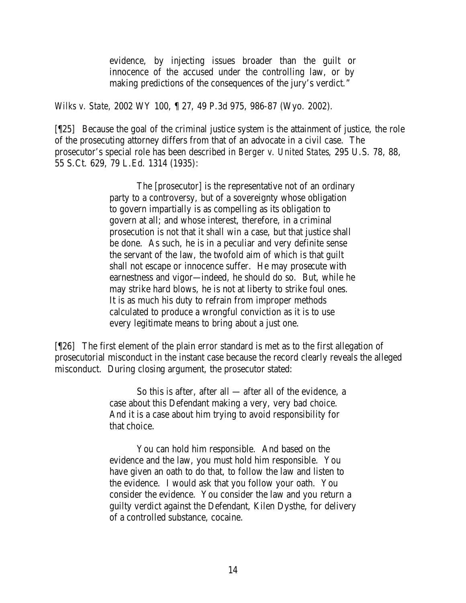evidence, by injecting issues broader than the guilt or innocence of the accused under the controlling law, or by making predictions of the consequences of the jury's verdict."

*Wilks v. State,* 2002 WY 100, ¶ 27, 49 P.3d 975, 986-87 (Wyo. 2002).

[¶25] Because the goal of the criminal justice system is the attainment of justice, the role of the prosecuting attorney differs from that of an advocate in a civil case. The prosecutor's special role has been described in *Berger v. United States*, 295 U.S. 78, 88, 55 S.Ct. 629, 79 L.Ed. 1314 (1935):

> The [prosecutor] is the representative not of an ordinary party to a controversy, but of a sovereignty whose obligation to govern impartially is as compelling as its obligation to govern at all; and whose interest, therefore, in a criminal prosecution is not that it shall win a case, but that justice shall be done. As such, he is in a peculiar and very definite sense the servant of the law, the twofold aim of which is that guilt shall not escape or innocence suffer. He may prosecute with earnestness and vigor—indeed, he should do so. But, while he may strike hard blows, he is not at liberty to strike foul ones. It is as much his duty to refrain from improper methods calculated to produce a wrongful conviction as it is to use every legitimate means to bring about a just one.

[¶26] The first element of the plain error standard is met as to the first allegation of prosecutorial misconduct in the instant case because the record clearly reveals the alleged misconduct. During closing argument, the prosecutor stated:

> So this is after, after all  $-$  after all of the evidence, a case about this Defendant making a very, very bad choice. And it is a case about him trying to avoid responsibility for that choice.

You can hold him responsible. And based on the evidence and the law, you must hold him responsible. You have given an oath to do that, to follow the law and listen to the evidence. I would ask that you follow your oath. You consider the evidence. You consider the law and you return a guilty verdict against the Defendant, Kilen Dysthe, for delivery of a controlled substance, cocaine.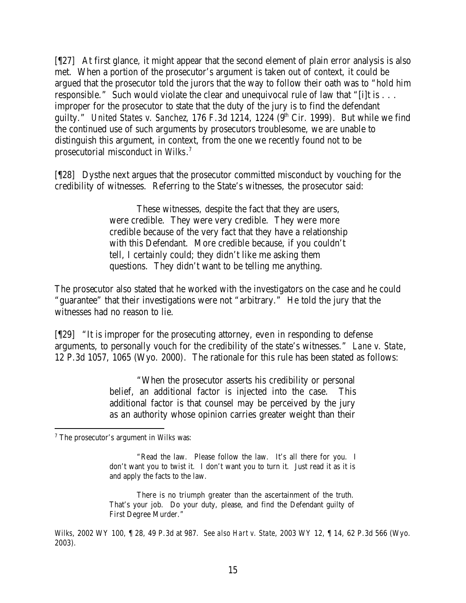[¶27] At first glance, it might appear that the second element of plain error analysis is also met. When a portion of the prosecutor's argument is taken out of context, it could be argued that the prosecutor told the jurors that the way to follow their oath was to "hold him responsible." Such would violate the clear and unequivocal rule of law that "[i]t is . . . improper for the prosecutor to state that the duty of the jury is to find the defendant guilty." *United States v. Sanchez*, 176 F.3d 1214, 1224 (9<sup>th</sup> Cir. 1999). But while we find the continued use of such arguments by prosecutors troublesome, we are unable to distinguish this argument, in context, from the one we recently found not to be prosecutorial misconduct in *Wilks*. 7

[¶28] Dysthe next argues that the prosecutor committed misconduct by vouching for the credibility of witnesses. Referring to the State's witnesses, the prosecutor said:

> These witnesses, despite the fact that they are users, were credible. They were very credible. They were more credible because of the very fact that they have a relationship with this Defendant. More credible because, if you couldn't tell, I certainly could; they didn't like me asking them questions. They didn't want to be telling me anything.

The prosecutor also stated that he worked with the investigators on the case and he could "guarantee" that their investigations were not "arbitrary." He told the jury that the witnesses had no reason to lie.

[¶29] "It is improper for the prosecuting attorney, even in responding to defense arguments, to personally vouch for the credibility of the state's witnesses." *Lane v. State*, 12 P.3d 1057, 1065 (Wyo. 2000). The rationale for this rule has been stated as follows:

> "When the prosecutor asserts his credibility or personal belief, an additional factor is injected into the case. This additional factor is that counsel may be perceived by the jury as an authority whose opinion carries greater weight than their

There is no triumph greater than the ascertainment of the truth. That's your job. Do your duty, please, and find the Defendant guilty of First Degree Murder."

<sup>7</sup> The prosecutor's argument in *Wilks* was:

<sup>&</sup>quot;Read the law. Please follow the law. It's all there for you. I don't want you to twist it. I don't want you to turn it. Just read it as it is and apply the facts to the law.

*Wilks*, 2002 WY 100, ¶ 28, 49 P.3d at 987. *See also Hart v. State*, 2003 WY 12, ¶ 14, 62 P.3d 566 (Wyo. 2003).